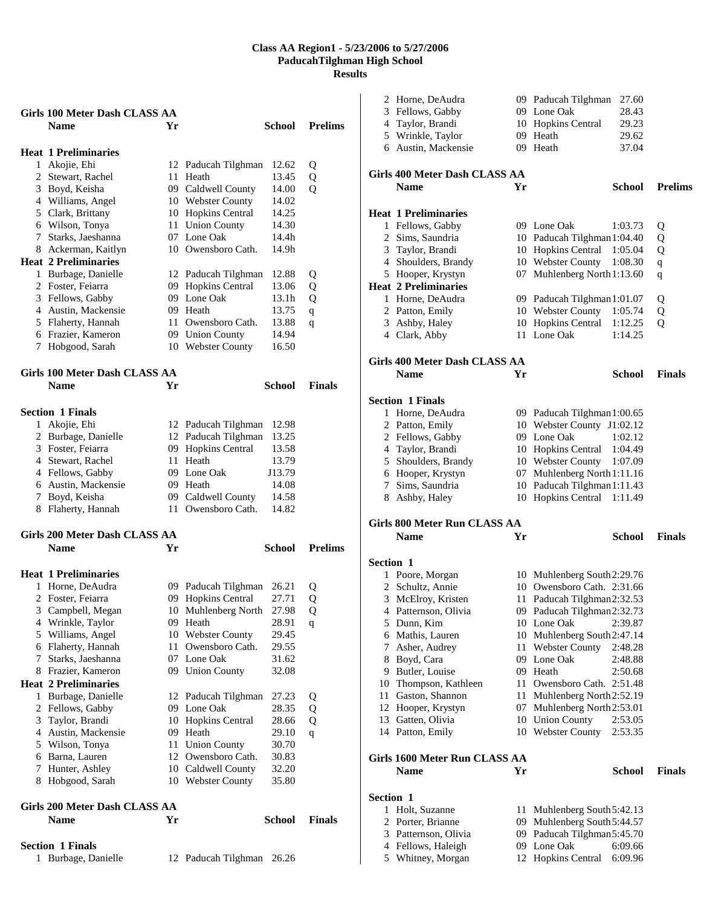|              | Girls 100 Meter Dash CLASS AA        |    |                       |               |                |
|--------------|--------------------------------------|----|-----------------------|---------------|----------------|
|              | <b>Name</b>                          | Yr |                       | School        | <b>Prelims</b> |
|              |                                      |    |                       |               |                |
|              | <b>Heat 1 Preliminaries</b>          |    |                       |               |                |
|              | 1 Akojie, Ehi                        |    | 12 Paducah Tilghman   | 12.62         | Q              |
|              | 2 Stewart, Rachel                    |    | 11 Heath              | 13.45         | Q              |
|              | 3 Boyd, Keisha                       |    | 09 Caldwell County    | 14.00         | Q              |
|              | 4 Williams, Angel                    |    | 10 Webster County     | 14.02         |                |
|              | 5 Clark, Brittany                    |    | 10 Hopkins Central    | 14.25         |                |
|              | 6 Wilson, Tonya                      |    | 11 Union County       | 14.30         |                |
|              | 7 Starks, Jaeshanna                  |    | 07 Lone Oak           | 14.4h         |                |
|              | 8 Ackerman, Kaitlyn                  |    | 10 Owensboro Cath.    | 14.9h         |                |
|              | <b>Heat 2 Preliminaries</b>          |    |                       |               |                |
|              | 1 Burbage, Danielle                  |    | 12 Paducah Tilghman   | 12.88         | Q              |
|              | 2 Foster, Feiarra                    |    | 09 Hopkins Central    | 13.06         | Q              |
|              | 3 Fellows, Gabby                     |    | 09 Lone Oak           | 13.1h         | Q              |
|              | 4 Austin, Mackensie                  |    | 09 Heath              | 13.75         | $\mathbf q$    |
|              | 5 Flaherty, Hannah                   |    | 11 Owensboro Cath.    | 13.88         | q              |
|              | 6 Frazier, Kameron                   |    | 09 Union County       | 14.94         |                |
|              | 7 Hobgood, Sarah                     |    | 10 Webster County     | 16.50         |                |
|              |                                      |    |                       |               |                |
|              | Girls 100 Meter Dash CLASS AA        |    |                       |               |                |
|              | <b>Name</b>                          | Yr |                       | <b>School</b> | <b>Finals</b>  |
|              |                                      |    |                       |               |                |
|              |                                      |    |                       |               |                |
|              | <b>Section 1 Finals</b>              |    |                       |               |                |
|              | 1 Akojie, Ehi                        |    | 12 Paducah Tilghman   | 12.98         |                |
|              | 2 Burbage, Danielle                  |    | 12 Paducah Tilghman   | 13.25         |                |
|              | 3 Foster, Feiarra                    |    | 09 Hopkins Central    | 13.58         |                |
|              | 4 Stewart, Rachel                    |    | 11 Heath              | 13.79         |                |
|              | 4 Fellows, Gabby                     |    | 09 Lone Oak           | J13.79        |                |
|              | 6 Austin, Mackensie                  |    | 09 Heath              | 14.08         |                |
|              | 7 Boyd, Keisha                       |    | 09 Caldwell County    | 14.58         |                |
|              | 8 Flaherty, Hannah                   | 11 | Owensboro Cath.       | 14.82         |                |
|              |                                      |    |                       |               |                |
|              | <b>Girls 200 Meter Dash CLASS AA</b> |    |                       |               |                |
|              | <b>Name</b>                          | Yr |                       | School        | <b>Prelims</b> |
|              |                                      |    |                       |               |                |
|              | <b>Heat 1 Preliminaries</b>          |    |                       |               |                |
|              | 1 Horne, DeAudra                     |    | 09 Paducah Tilghman   | 26.21         | Q              |
|              | 2 Foster, Feiarra                    |    | 09 Hopkins Central    | 27.71         | Q              |
| 3            | Campbell, Megan                      |    | 10 Muhlenberg North   | 27.98         | Q              |
|              | 4 Wrinkle, Taylor                    |    | 09 Heath              | 28.91         | q              |
|              | 5 Williams, Angel                    | 10 | <b>Webster County</b> | 29.45         |                |
|              | 6 Flaherty, Hannah                   | 11 | Owensboro Cath.       | 29.55         |                |
|              | 7 Starks, Jaeshanna                  |    | 07 Lone Oak           | 31.62         |                |
|              | 8 Frazier, Kameron                   |    | 09 Union County       | 32.08         |                |
|              | <b>Heat 2 Preliminaries</b>          |    |                       |               |                |
| $\mathbf{1}$ | Burbage, Danielle                    |    | 12 Paducah Tilghman   | 27.23         | Q              |
|              | 2 Fellows, Gabby                     |    | 09 Lone Oak           | 28.35         | Q              |
|              | 3 Taylor, Brandi                     |    | 10 Hopkins Central    | 28.66         | Q              |
|              | 4 Austin, Mackensie                  |    | 09 Heath              | 29.10         | q              |
|              | 5 Wilson, Tonya                      | 11 | <b>Union County</b>   | 30.70         |                |
|              | 6 Barna, Lauren                      |    | 12 Owensboro Cath.    | 30.83         |                |
|              | 7 Hunter, Ashley                     |    | 10 Caldwell County    | 32.20         |                |
| 8            | Hobgood, Sarah                       |    | 10 Webster County     | 35.80         |                |
|              |                                      |    |                       |               |                |
|              | Girls 200 Meter Dash CLASS AA        |    |                       |               |                |
|              | <b>Name</b>                          | Yr |                       | <b>School</b> | <b>Finals</b>  |
|              |                                      |    |                       |               |                |
|              | <b>Section 1 Finals</b>              |    |                       |               |                |
| 1            |                                      |    |                       |               |                |
|              | Burbage, Danielle                    |    | 12 Paducah Tilghman   | 26.26         |                |

|                  | 2 Horne, DeAudra                      |    | 09 Paducah Tilghman                  | 27.60              |                |
|------------------|---------------------------------------|----|--------------------------------------|--------------------|----------------|
|                  | 3 Fellows, Gabby                      |    | 09 Lone Oak                          | 28.43              |                |
|                  | 4 Taylor, Brandi                      |    | 10 Hopkins Central                   | 29.23              |                |
|                  | 5 Wrinkle, Taylor                     |    | 09 Heath                             | 29.62              |                |
|                  | 6 Austin, Mackensie                   |    | 09 Heath                             | 37.04              |                |
|                  | Girls 400 Meter Dash CLASS AA         |    |                                      |                    |                |
|                  | <b>Name</b>                           | Yr |                                      | School             | <b>Prelims</b> |
|                  |                                       |    |                                      |                    |                |
|                  | <b>Heat 1 Preliminaries</b>           |    |                                      |                    |                |
|                  | 1 Fellows, Gabby                      |    | 09 Lone Oak                          | 1:03.73            | Q              |
|                  | 2 Sims, Saundria                      |    | 10 Paducah Tilghman 1:04.40          |                    | Q              |
|                  | 3 Taylor, Brandi                      |    | 10 Hopkins Central 1:05.04           |                    | Q              |
|                  | 4 Shoulders, Brandy                   |    | 10 Webster County                    | 1:08.30            | $\mathbf q$    |
|                  | 5 Hooper, Krystyn                     |    | 07 Muhlenberg North 1:13.60          |                    | $\mathbf q$    |
|                  | <b>Heat 2 Preliminaries</b>           |    |                                      |                    |                |
|                  | 1 Horne, DeAudra                      |    | 09 Paducah Tilghman 1:01.07          |                    | Q              |
|                  | 2 Patton, Emily                       |    | 10 Webster County 1:05.74            |                    | Q              |
| 3                | Ashby, Haley                          |    | 10 Hopkins Central                   | 1:12.25            | Q              |
|                  | 4 Clark, Abby                         |    | 11 Lone Oak                          | 1:14.25            |                |
|                  | Girls 400 Meter Dash CLASS AA         |    |                                      |                    |                |
|                  | <b>Name</b>                           | Yr |                                      | <b>School</b>      | <b>Finals</b>  |
|                  |                                       |    |                                      |                    |                |
|                  | <b>Section 1 Finals</b>               |    |                                      |                    |                |
|                  | 1 Horne, DeAudra                      |    | 09 Paducah Tilghman 1:00.65          |                    |                |
|                  | 2 Patton, Emily                       |    | 10 Webster County J1:02.12           |                    |                |
|                  | 2 Fellows, Gabby                      |    | 09 Lone Oak                          | 1:02.12            |                |
|                  | 4 Taylor, Brandi                      |    | 10 Hopkins Central 1:04.49           |                    |                |
|                  | 5 Shoulders, Brandy                   |    | 10 Webster County                    | 1:07.09            |                |
|                  | 6 Hooper, Krystyn                     |    | 07 Muhlenberg North 1:11.16          |                    |                |
| 7                | Sims, Saundria                        |    | 10 Paducah Tilghman 1:11.43          |                    |                |
|                  | 8 Ashby, Haley                        |    | 10 Hopkins Central 1:11.49           |                    |                |
|                  | Girls 800 Meter Run CLASS AA          |    |                                      |                    |                |
|                  | <b>Name</b>                           | Yr |                                      | <b>School</b>      | <b>Finals</b>  |
| <b>Section 1</b> |                                       |    |                                      |                    |                |
|                  | 1 Poore, Morgan                       |    | 10 Muhlenberg South2:29.76           |                    |                |
|                  | 2 Schultz, Annie                      |    | 10 Owensboro Cath. 2:31.66           |                    |                |
| 3                | McElroy, Kristen                      |    | 11 Paducah Tilghman 2:32.53          |                    |                |
|                  | 4 Patternson, Olivia                  |    | 09 Paducah Tilghman2:32.73           |                    |                |
|                  | 5 Dunn, Kim                           |    | 10 Lone Oak                          | 2:39.87            |                |
|                  | 6 Mathis, Lauren                      |    | 10 Muhlenberg South 2:47.14          |                    |                |
| 7                | Asher, Audrey                         |    | 11 Webster County                    | 2:48.28            |                |
| 8                | Boyd, Cara                            |    | 09 Lone Oak                          | 2:48.88            |                |
|                  | 9 Butler, Louise                      |    | 09 Heath                             | 2:50.68            |                |
|                  | 10 Thompson, Kathleen                 |    | 11 Owensboro Cath. 2:51.48           |                    |                |
|                  |                                       |    |                                      |                    |                |
|                  | 11 Gaston, Shannon                    |    | 11 Muhlenberg North 2:52.19          |                    |                |
|                  | 12 Hooper, Krystyn                    |    | 07 Muhlenberg North 2:53.01          |                    |                |
|                  | 13 Gatten, Olivia<br>14 Patton, Emily |    | 10 Union County<br>10 Webster County | 2:53.05<br>2:53.35 |                |
|                  |                                       |    |                                      |                    |                |
|                  | Girls 1600 Meter Run CLASS AA         |    |                                      |                    |                |
|                  | <b>Name</b>                           | Yr |                                      | <b>School</b>      | <b>Finals</b>  |
| <b>Section 1</b> |                                       |    |                                      |                    |                |
|                  | 1 Holt, Suzanne                       |    | 11 Muhlenberg South 5:42.13          |                    |                |
| 2                | Porter, Brianne                       |    | 09 Muhlenberg South 5:44.57          |                    |                |
| 3                | Patternson, Olivia                    |    | 09 Paducah Tilghman 5:45.70          |                    |                |
|                  |                                       |    |                                      |                    |                |
| 4                | Fellows, Haleigh                      |    | 09 Lone Oak                          | 6:09.66            |                |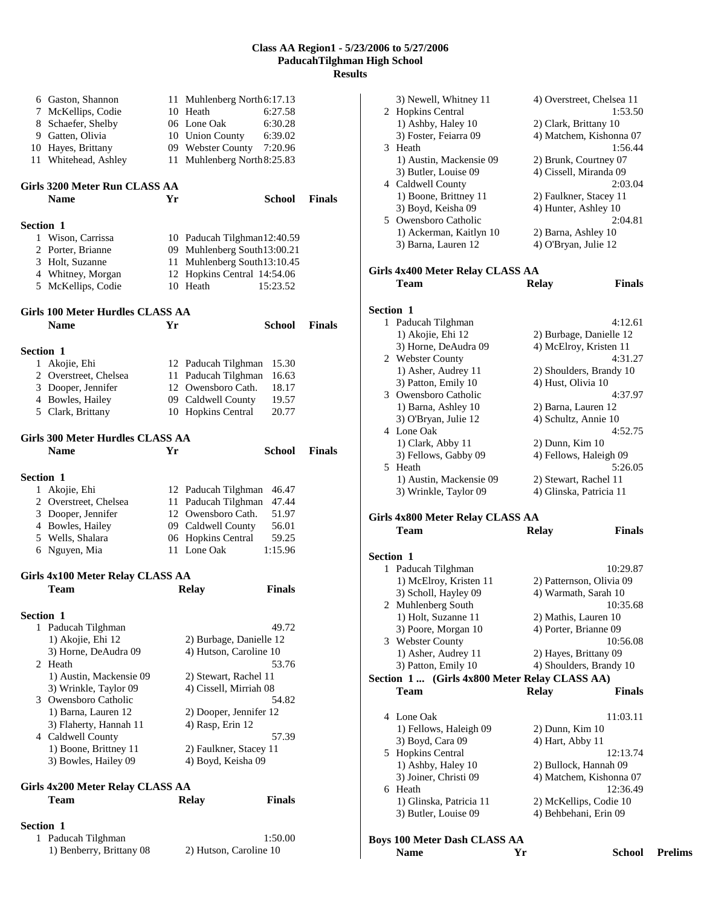|           | 6 Gaston, Shannon                             |    | 11 Muhlenberg North 6:17.13                  |               |               |
|-----------|-----------------------------------------------|----|----------------------------------------------|---------------|---------------|
|           | 7 McKellips, Codie                            |    | 10 Heath                                     | 6:27.58       |               |
|           | 8 Schaefer, Shelby                            |    | 06 Lone Oak                                  | 6:30.28       |               |
|           | 9 Gatten, Olivia                              |    | 10 Union County                              | 6:39.02       |               |
|           | 10 Hayes, Brittany                            |    | 09 Webster County                            | 7:20.96       |               |
| 11        | Whitehead, Ashley                             | 11 | Muhlenberg North 8:25.83                     |               |               |
|           | Girls 3200 Meter Run CLASS AA                 |    |                                              |               |               |
|           | <b>Name</b>                                   | Yr |                                              | School        | <b>Finals</b> |
|           |                                               |    |                                              |               |               |
| Section 1 |                                               |    |                                              |               |               |
|           | 1 Wison, Carrissa                             |    | 10 Paducah Tilghman12:40.59                  |               |               |
|           | 2 Porter, Brianne                             |    | 09 Muhlenberg South13:00.21                  |               |               |
|           | 3 Holt, Suzanne                               |    | 11 Muhlenberg South13:10.45                  |               |               |
|           | 4 Whitney, Morgan                             |    | 12 Hopkins Central 14:54.06                  |               |               |
|           | 5 McKellips, Codie                            |    | 10 Heath                                     | 15:23.52      |               |
|           | Girls 100 Meter Hurdles CLASS AA              |    |                                              |               |               |
|           | <b>Name</b>                                   | Yr |                                              | <b>School</b> | <b>Finals</b> |
| Section 1 |                                               |    |                                              |               |               |
|           | 1 Akojie, Ehi                                 |    | 12 Paducah Tilghman                          | 15.30         |               |
|           | 2 Overstreet, Chelsea                         |    | 11 Paducah Tilghman                          | 16.63         |               |
|           | 3 Dooper, Jennifer                            |    | 12 Owensboro Cath.                           | 18.17         |               |
|           | 4 Bowles, Hailey                              |    | 09 Caldwell County                           | 19.57         |               |
|           | 5 Clark, Brittany                             |    | 10 Hopkins Central                           | 20.77         |               |
|           |                                               |    |                                              |               |               |
|           | Girls 300 Meter Hurdles CLASS AA              |    |                                              |               |               |
|           | <b>Name</b>                                   | Yr |                                              | School        | <b>Finals</b> |
| Section 1 |                                               |    |                                              |               |               |
|           | 1 Akojie, Ehi                                 |    | 12 Paducah Tilghman                          | 46.47         |               |
|           | 2 Overstreet, Chelsea                         | 11 | Paducah Tilghman                             | 47.44         |               |
|           | 3 Dooper, Jennifer                            |    | 12 Owensboro Cath.                           | 51.97         |               |
|           | 4 Bowles, Hailey                              |    | 09 Caldwell County                           | 56.01         |               |
|           | 5 Wells, Shalara                              |    | 06 Hopkins Central                           | 59.25         |               |
|           | 6 Nguyen, Mia                                 |    | 11 Lone Oak                                  | 1:15.96       |               |
|           | Girls 4x100 Meter Relay CLASS AA              |    |                                              |               |               |
|           | Team                                          |    | <b>Relay</b>                                 | <b>Finals</b> |               |
|           |                                               |    |                                              |               |               |
| Section 1 |                                               |    |                                              |               |               |
|           | 1 Paducah Tilghman                            |    |                                              | 49.72         |               |
|           | 1) Akojie, Ehi 12                             |    | 2) Burbage, Danielle 12                      |               |               |
|           | 3) Horne, DeAudra 09                          |    | 4) Hutson, Caroline 10                       |               |               |
|           | 2 Heath                                       |    |                                              | 53.76         |               |
|           | 1) Austin, Mackensie 09                       |    | 2) Stewart, Rachel 11                        |               |               |
|           | 3) Wrinkle, Taylor 09                         |    | 4) Cissell, Mirriah 08                       |               |               |
|           | 3 Owensboro Catholic                          |    |                                              | 54.82         |               |
|           | 1) Barna, Lauren 12                           |    | 2) Dooper, Jennifer 12                       |               |               |
|           | 3) Flaherty, Hannah 11                        |    | 4) Rasp, Erin 12                             |               |               |
|           | 4 Caldwell County                             |    |                                              | 57.39         |               |
|           | 1) Boone, Brittney 11<br>3) Bowles, Hailey 09 |    | 2) Faulkner, Stacey 11<br>4) Boyd, Keisha 09 |               |               |
|           |                                               |    |                                              |               |               |
|           | Girls 4x200 Meter Relay CLASS AA              |    |                                              |               |               |
|           | Team                                          |    | <b>Relay</b>                                 | <b>Finals</b> |               |
| Section 1 |                                               |    |                                              |               |               |
|           |                                               |    |                                              |               |               |

1 Paducah Tilghman 1:50.00<br>1) Benberry, Brittany 08 2) Hutson, Caroline 10

1) Benberry, Brittany 08

| 3) Newell, Whitney 11<br>4) Overstreet, Chelsea 11<br>2 Hopkins Central<br>1:53.50<br>1) Ashby, Haley 10<br>2) Clark, Brittany 10<br>3) Foster, Feiarra 09<br>4) Matchem, Kishonna 07<br>1:56.44<br>3 Heath<br>1) Austin, Mackensie 09<br>2) Brunk, Courtney 07<br>4) Cissell, Miranda 09<br>3) Butler, Louise 09<br>4 Caldwell County<br>2:03.04<br>1) Boone, Brittney 11<br>2) Faulkner, Stacey 11<br>4) Hunter, Ashley 10<br>3) Boyd, Keisha 09<br>5 Owensboro Catholic<br>2:04.81<br>1) Ackerman, Kaitlyn 10<br>2) Barna, Ashley 10<br>3) Barna, Lauren 12<br>4) O'Bryan, Julie 12<br>Girls 4x400 Meter Relay CLASS AA<br>Team<br><b>Relay</b><br><b>Finals</b><br>Section 1<br>1 Paducah Tilghman<br>4:12.61<br>1) Akojie, Ehi 12<br>2) Burbage, Danielle 12<br>4) McElroy, Kristen 11<br>3) Horne, DeAudra 09<br>2 Webster County<br>4:31.27<br>1) Asher, Audrey 11<br>2) Shoulders, Brandy 10<br>3) Patton, Emily 10<br>4) Hust, Olivia 10<br>3 Owensboro Catholic<br>4:37.97<br>1) Barna, Ashley 10<br>2) Barna, Lauren 12<br>4) Schultz, Annie 10<br>3) O'Bryan, Julie 12<br>4 Lone Oak<br>4:52.75<br>1) Clark, Abby 11<br>2) Dunn, Kim 10<br>4) Fellows, Haleigh 09<br>3) Fellows, Gabby 09<br>5 Heath<br>5:26.05<br>1) Austin, Mackensie 09<br>2) Stewart, Rachel 11<br>3) Wrinkle, Taylor 09<br>4) Glinska, Patricia 11<br>Girls 4x800 Meter Relay CLASS AA<br><b>Team</b><br><b>Relay</b><br><b>Finals</b><br>Section 1<br>1 Paducah Tilghman<br>10:29.87<br>1) McElroy, Kristen 11<br>2) Patternson, Olivia 09<br>3) Scholl, Hayley 09<br>4) Warmath, Sarah 10<br>2 Muhlenberg South<br>10:35.68<br>1) Holt, Suzanne 11<br>2) Mathis, Lauren 10<br>3) Poore, Morgan 10<br>4) Porter, Brianne 09<br>3 Webster County<br>10:56.08<br>1) Asher, Audrey 11<br>2) Hayes, Brittany 09<br>3) Patton, Emily 10<br>4) Shoulders, Brandy 10<br>Section 1  (Girls 4x800 Meter Relay CLASS AA)<br><b>Relay</b><br><b>Finals</b><br>Team<br>4 Lone Oak<br>11:03.11<br>1) Fellows, Haleigh 09<br>2) Dunn, Kim 10<br>3) Boyd, Cara 09<br>4) Hart, Abby 11<br>5 Hopkins Central<br>12:13.74<br>1) Ashby, Haley 10<br>2) Bullock, Hannah 09<br>3) Joiner, Christi 09<br>4) Matchem, Kishonna 07<br>6 Heath<br>12:36.49<br>1) Glinska, Patricia 11<br>2) McKellips, Codie 10<br>4) Behbehani, Erin 09<br>3) Butler, Louise 09<br><b>Boys 100 Meter Dash CLASS AA</b> |                   |        |                |
|------------------------------------------------------------------------------------------------------------------------------------------------------------------------------------------------------------------------------------------------------------------------------------------------------------------------------------------------------------------------------------------------------------------------------------------------------------------------------------------------------------------------------------------------------------------------------------------------------------------------------------------------------------------------------------------------------------------------------------------------------------------------------------------------------------------------------------------------------------------------------------------------------------------------------------------------------------------------------------------------------------------------------------------------------------------------------------------------------------------------------------------------------------------------------------------------------------------------------------------------------------------------------------------------------------------------------------------------------------------------------------------------------------------------------------------------------------------------------------------------------------------------------------------------------------------------------------------------------------------------------------------------------------------------------------------------------------------------------------------------------------------------------------------------------------------------------------------------------------------------------------------------------------------------------------------------------------------------------------------------------------------------------------------------------------------------------------------------------------------------------------------------------------------------------------------------------------------------------------------------------------------------------------------------------------------------------------------------------------------|-------------------|--------|----------------|
|                                                                                                                                                                                                                                                                                                                                                                                                                                                                                                                                                                                                                                                                                                                                                                                                                                                                                                                                                                                                                                                                                                                                                                                                                                                                                                                                                                                                                                                                                                                                                                                                                                                                                                                                                                                                                                                                                                                                                                                                                                                                                                                                                                                                                                                                                                                                                                  |                   |        |                |
|                                                                                                                                                                                                                                                                                                                                                                                                                                                                                                                                                                                                                                                                                                                                                                                                                                                                                                                                                                                                                                                                                                                                                                                                                                                                                                                                                                                                                                                                                                                                                                                                                                                                                                                                                                                                                                                                                                                                                                                                                                                                                                                                                                                                                                                                                                                                                                  |                   |        |                |
|                                                                                                                                                                                                                                                                                                                                                                                                                                                                                                                                                                                                                                                                                                                                                                                                                                                                                                                                                                                                                                                                                                                                                                                                                                                                                                                                                                                                                                                                                                                                                                                                                                                                                                                                                                                                                                                                                                                                                                                                                                                                                                                                                                                                                                                                                                                                                                  |                   |        |                |
|                                                                                                                                                                                                                                                                                                                                                                                                                                                                                                                                                                                                                                                                                                                                                                                                                                                                                                                                                                                                                                                                                                                                                                                                                                                                                                                                                                                                                                                                                                                                                                                                                                                                                                                                                                                                                                                                                                                                                                                                                                                                                                                                                                                                                                                                                                                                                                  |                   |        |                |
|                                                                                                                                                                                                                                                                                                                                                                                                                                                                                                                                                                                                                                                                                                                                                                                                                                                                                                                                                                                                                                                                                                                                                                                                                                                                                                                                                                                                                                                                                                                                                                                                                                                                                                                                                                                                                                                                                                                                                                                                                                                                                                                                                                                                                                                                                                                                                                  |                   |        |                |
|                                                                                                                                                                                                                                                                                                                                                                                                                                                                                                                                                                                                                                                                                                                                                                                                                                                                                                                                                                                                                                                                                                                                                                                                                                                                                                                                                                                                                                                                                                                                                                                                                                                                                                                                                                                                                                                                                                                                                                                                                                                                                                                                                                                                                                                                                                                                                                  |                   |        |                |
|                                                                                                                                                                                                                                                                                                                                                                                                                                                                                                                                                                                                                                                                                                                                                                                                                                                                                                                                                                                                                                                                                                                                                                                                                                                                                                                                                                                                                                                                                                                                                                                                                                                                                                                                                                                                                                                                                                                                                                                                                                                                                                                                                                                                                                                                                                                                                                  |                   |        |                |
|                                                                                                                                                                                                                                                                                                                                                                                                                                                                                                                                                                                                                                                                                                                                                                                                                                                                                                                                                                                                                                                                                                                                                                                                                                                                                                                                                                                                                                                                                                                                                                                                                                                                                                                                                                                                                                                                                                                                                                                                                                                                                                                                                                                                                                                                                                                                                                  |                   |        |                |
|                                                                                                                                                                                                                                                                                                                                                                                                                                                                                                                                                                                                                                                                                                                                                                                                                                                                                                                                                                                                                                                                                                                                                                                                                                                                                                                                                                                                                                                                                                                                                                                                                                                                                                                                                                                                                                                                                                                                                                                                                                                                                                                                                                                                                                                                                                                                                                  |                   |        |                |
|                                                                                                                                                                                                                                                                                                                                                                                                                                                                                                                                                                                                                                                                                                                                                                                                                                                                                                                                                                                                                                                                                                                                                                                                                                                                                                                                                                                                                                                                                                                                                                                                                                                                                                                                                                                                                                                                                                                                                                                                                                                                                                                                                                                                                                                                                                                                                                  |                   |        |                |
|                                                                                                                                                                                                                                                                                                                                                                                                                                                                                                                                                                                                                                                                                                                                                                                                                                                                                                                                                                                                                                                                                                                                                                                                                                                                                                                                                                                                                                                                                                                                                                                                                                                                                                                                                                                                                                                                                                                                                                                                                                                                                                                                                                                                                                                                                                                                                                  |                   |        |                |
|                                                                                                                                                                                                                                                                                                                                                                                                                                                                                                                                                                                                                                                                                                                                                                                                                                                                                                                                                                                                                                                                                                                                                                                                                                                                                                                                                                                                                                                                                                                                                                                                                                                                                                                                                                                                                                                                                                                                                                                                                                                                                                                                                                                                                                                                                                                                                                  |                   |        |                |
|                                                                                                                                                                                                                                                                                                                                                                                                                                                                                                                                                                                                                                                                                                                                                                                                                                                                                                                                                                                                                                                                                                                                                                                                                                                                                                                                                                                                                                                                                                                                                                                                                                                                                                                                                                                                                                                                                                                                                                                                                                                                                                                                                                                                                                                                                                                                                                  |                   |        |                |
|                                                                                                                                                                                                                                                                                                                                                                                                                                                                                                                                                                                                                                                                                                                                                                                                                                                                                                                                                                                                                                                                                                                                                                                                                                                                                                                                                                                                                                                                                                                                                                                                                                                                                                                                                                                                                                                                                                                                                                                                                                                                                                                                                                                                                                                                                                                                                                  |                   |        |                |
|                                                                                                                                                                                                                                                                                                                                                                                                                                                                                                                                                                                                                                                                                                                                                                                                                                                                                                                                                                                                                                                                                                                                                                                                                                                                                                                                                                                                                                                                                                                                                                                                                                                                                                                                                                                                                                                                                                                                                                                                                                                                                                                                                                                                                                                                                                                                                                  |                   |        |                |
|                                                                                                                                                                                                                                                                                                                                                                                                                                                                                                                                                                                                                                                                                                                                                                                                                                                                                                                                                                                                                                                                                                                                                                                                                                                                                                                                                                                                                                                                                                                                                                                                                                                                                                                                                                                                                                                                                                                                                                                                                                                                                                                                                                                                                                                                                                                                                                  |                   |        |                |
|                                                                                                                                                                                                                                                                                                                                                                                                                                                                                                                                                                                                                                                                                                                                                                                                                                                                                                                                                                                                                                                                                                                                                                                                                                                                                                                                                                                                                                                                                                                                                                                                                                                                                                                                                                                                                                                                                                                                                                                                                                                                                                                                                                                                                                                                                                                                                                  |                   |        |                |
|                                                                                                                                                                                                                                                                                                                                                                                                                                                                                                                                                                                                                                                                                                                                                                                                                                                                                                                                                                                                                                                                                                                                                                                                                                                                                                                                                                                                                                                                                                                                                                                                                                                                                                                                                                                                                                                                                                                                                                                                                                                                                                                                                                                                                                                                                                                                                                  |                   |        |                |
|                                                                                                                                                                                                                                                                                                                                                                                                                                                                                                                                                                                                                                                                                                                                                                                                                                                                                                                                                                                                                                                                                                                                                                                                                                                                                                                                                                                                                                                                                                                                                                                                                                                                                                                                                                                                                                                                                                                                                                                                                                                                                                                                                                                                                                                                                                                                                                  |                   |        |                |
|                                                                                                                                                                                                                                                                                                                                                                                                                                                                                                                                                                                                                                                                                                                                                                                                                                                                                                                                                                                                                                                                                                                                                                                                                                                                                                                                                                                                                                                                                                                                                                                                                                                                                                                                                                                                                                                                                                                                                                                                                                                                                                                                                                                                                                                                                                                                                                  |                   |        |                |
|                                                                                                                                                                                                                                                                                                                                                                                                                                                                                                                                                                                                                                                                                                                                                                                                                                                                                                                                                                                                                                                                                                                                                                                                                                                                                                                                                                                                                                                                                                                                                                                                                                                                                                                                                                                                                                                                                                                                                                                                                                                                                                                                                                                                                                                                                                                                                                  |                   |        |                |
|                                                                                                                                                                                                                                                                                                                                                                                                                                                                                                                                                                                                                                                                                                                                                                                                                                                                                                                                                                                                                                                                                                                                                                                                                                                                                                                                                                                                                                                                                                                                                                                                                                                                                                                                                                                                                                                                                                                                                                                                                                                                                                                                                                                                                                                                                                                                                                  |                   |        |                |
|                                                                                                                                                                                                                                                                                                                                                                                                                                                                                                                                                                                                                                                                                                                                                                                                                                                                                                                                                                                                                                                                                                                                                                                                                                                                                                                                                                                                                                                                                                                                                                                                                                                                                                                                                                                                                                                                                                                                                                                                                                                                                                                                                                                                                                                                                                                                                                  |                   |        |                |
|                                                                                                                                                                                                                                                                                                                                                                                                                                                                                                                                                                                                                                                                                                                                                                                                                                                                                                                                                                                                                                                                                                                                                                                                                                                                                                                                                                                                                                                                                                                                                                                                                                                                                                                                                                                                                                                                                                                                                                                                                                                                                                                                                                                                                                                                                                                                                                  |                   |        |                |
|                                                                                                                                                                                                                                                                                                                                                                                                                                                                                                                                                                                                                                                                                                                                                                                                                                                                                                                                                                                                                                                                                                                                                                                                                                                                                                                                                                                                                                                                                                                                                                                                                                                                                                                                                                                                                                                                                                                                                                                                                                                                                                                                                                                                                                                                                                                                                                  |                   |        |                |
|                                                                                                                                                                                                                                                                                                                                                                                                                                                                                                                                                                                                                                                                                                                                                                                                                                                                                                                                                                                                                                                                                                                                                                                                                                                                                                                                                                                                                                                                                                                                                                                                                                                                                                                                                                                                                                                                                                                                                                                                                                                                                                                                                                                                                                                                                                                                                                  |                   |        |                |
|                                                                                                                                                                                                                                                                                                                                                                                                                                                                                                                                                                                                                                                                                                                                                                                                                                                                                                                                                                                                                                                                                                                                                                                                                                                                                                                                                                                                                                                                                                                                                                                                                                                                                                                                                                                                                                                                                                                                                                                                                                                                                                                                                                                                                                                                                                                                                                  |                   |        |                |
|                                                                                                                                                                                                                                                                                                                                                                                                                                                                                                                                                                                                                                                                                                                                                                                                                                                                                                                                                                                                                                                                                                                                                                                                                                                                                                                                                                                                                                                                                                                                                                                                                                                                                                                                                                                                                                                                                                                                                                                                                                                                                                                                                                                                                                                                                                                                                                  |                   |        |                |
|                                                                                                                                                                                                                                                                                                                                                                                                                                                                                                                                                                                                                                                                                                                                                                                                                                                                                                                                                                                                                                                                                                                                                                                                                                                                                                                                                                                                                                                                                                                                                                                                                                                                                                                                                                                                                                                                                                                                                                                                                                                                                                                                                                                                                                                                                                                                                                  |                   |        |                |
|                                                                                                                                                                                                                                                                                                                                                                                                                                                                                                                                                                                                                                                                                                                                                                                                                                                                                                                                                                                                                                                                                                                                                                                                                                                                                                                                                                                                                                                                                                                                                                                                                                                                                                                                                                                                                                                                                                                                                                                                                                                                                                                                                                                                                                                                                                                                                                  |                   |        |                |
|                                                                                                                                                                                                                                                                                                                                                                                                                                                                                                                                                                                                                                                                                                                                                                                                                                                                                                                                                                                                                                                                                                                                                                                                                                                                                                                                                                                                                                                                                                                                                                                                                                                                                                                                                                                                                                                                                                                                                                                                                                                                                                                                                                                                                                                                                                                                                                  |                   |        |                |
|                                                                                                                                                                                                                                                                                                                                                                                                                                                                                                                                                                                                                                                                                                                                                                                                                                                                                                                                                                                                                                                                                                                                                                                                                                                                                                                                                                                                                                                                                                                                                                                                                                                                                                                                                                                                                                                                                                                                                                                                                                                                                                                                                                                                                                                                                                                                                                  |                   |        |                |
|                                                                                                                                                                                                                                                                                                                                                                                                                                                                                                                                                                                                                                                                                                                                                                                                                                                                                                                                                                                                                                                                                                                                                                                                                                                                                                                                                                                                                                                                                                                                                                                                                                                                                                                                                                                                                                                                                                                                                                                                                                                                                                                                                                                                                                                                                                                                                                  |                   |        |                |
|                                                                                                                                                                                                                                                                                                                                                                                                                                                                                                                                                                                                                                                                                                                                                                                                                                                                                                                                                                                                                                                                                                                                                                                                                                                                                                                                                                                                                                                                                                                                                                                                                                                                                                                                                                                                                                                                                                                                                                                                                                                                                                                                                                                                                                                                                                                                                                  |                   |        |                |
|                                                                                                                                                                                                                                                                                                                                                                                                                                                                                                                                                                                                                                                                                                                                                                                                                                                                                                                                                                                                                                                                                                                                                                                                                                                                                                                                                                                                                                                                                                                                                                                                                                                                                                                                                                                                                                                                                                                                                                                                                                                                                                                                                                                                                                                                                                                                                                  |                   |        |                |
|                                                                                                                                                                                                                                                                                                                                                                                                                                                                                                                                                                                                                                                                                                                                                                                                                                                                                                                                                                                                                                                                                                                                                                                                                                                                                                                                                                                                                                                                                                                                                                                                                                                                                                                                                                                                                                                                                                                                                                                                                                                                                                                                                                                                                                                                                                                                                                  |                   |        |                |
|                                                                                                                                                                                                                                                                                                                                                                                                                                                                                                                                                                                                                                                                                                                                                                                                                                                                                                                                                                                                                                                                                                                                                                                                                                                                                                                                                                                                                                                                                                                                                                                                                                                                                                                                                                                                                                                                                                                                                                                                                                                                                                                                                                                                                                                                                                                                                                  |                   |        |                |
|                                                                                                                                                                                                                                                                                                                                                                                                                                                                                                                                                                                                                                                                                                                                                                                                                                                                                                                                                                                                                                                                                                                                                                                                                                                                                                                                                                                                                                                                                                                                                                                                                                                                                                                                                                                                                                                                                                                                                                                                                                                                                                                                                                                                                                                                                                                                                                  |                   |        |                |
|                                                                                                                                                                                                                                                                                                                                                                                                                                                                                                                                                                                                                                                                                                                                                                                                                                                                                                                                                                                                                                                                                                                                                                                                                                                                                                                                                                                                                                                                                                                                                                                                                                                                                                                                                                                                                                                                                                                                                                                                                                                                                                                                                                                                                                                                                                                                                                  |                   |        |                |
|                                                                                                                                                                                                                                                                                                                                                                                                                                                                                                                                                                                                                                                                                                                                                                                                                                                                                                                                                                                                                                                                                                                                                                                                                                                                                                                                                                                                                                                                                                                                                                                                                                                                                                                                                                                                                                                                                                                                                                                                                                                                                                                                                                                                                                                                                                                                                                  |                   |        |                |
|                                                                                                                                                                                                                                                                                                                                                                                                                                                                                                                                                                                                                                                                                                                                                                                                                                                                                                                                                                                                                                                                                                                                                                                                                                                                                                                                                                                                                                                                                                                                                                                                                                                                                                                                                                                                                                                                                                                                                                                                                                                                                                                                                                                                                                                                                                                                                                  |                   |        |                |
|                                                                                                                                                                                                                                                                                                                                                                                                                                                                                                                                                                                                                                                                                                                                                                                                                                                                                                                                                                                                                                                                                                                                                                                                                                                                                                                                                                                                                                                                                                                                                                                                                                                                                                                                                                                                                                                                                                                                                                                                                                                                                                                                                                                                                                                                                                                                                                  |                   |        |                |
|                                                                                                                                                                                                                                                                                                                                                                                                                                                                                                                                                                                                                                                                                                                                                                                                                                                                                                                                                                                                                                                                                                                                                                                                                                                                                                                                                                                                                                                                                                                                                                                                                                                                                                                                                                                                                                                                                                                                                                                                                                                                                                                                                                                                                                                                                                                                                                  |                   |        |                |
|                                                                                                                                                                                                                                                                                                                                                                                                                                                                                                                                                                                                                                                                                                                                                                                                                                                                                                                                                                                                                                                                                                                                                                                                                                                                                                                                                                                                                                                                                                                                                                                                                                                                                                                                                                                                                                                                                                                                                                                                                                                                                                                                                                                                                                                                                                                                                                  |                   |        |                |
|                                                                                                                                                                                                                                                                                                                                                                                                                                                                                                                                                                                                                                                                                                                                                                                                                                                                                                                                                                                                                                                                                                                                                                                                                                                                                                                                                                                                                                                                                                                                                                                                                                                                                                                                                                                                                                                                                                                                                                                                                                                                                                                                                                                                                                                                                                                                                                  |                   |        |                |
|                                                                                                                                                                                                                                                                                                                                                                                                                                                                                                                                                                                                                                                                                                                                                                                                                                                                                                                                                                                                                                                                                                                                                                                                                                                                                                                                                                                                                                                                                                                                                                                                                                                                                                                                                                                                                                                                                                                                                                                                                                                                                                                                                                                                                                                                                                                                                                  |                   |        |                |
|                                                                                                                                                                                                                                                                                                                                                                                                                                                                                                                                                                                                                                                                                                                                                                                                                                                                                                                                                                                                                                                                                                                                                                                                                                                                                                                                                                                                                                                                                                                                                                                                                                                                                                                                                                                                                                                                                                                                                                                                                                                                                                                                                                                                                                                                                                                                                                  |                   |        |                |
|                                                                                                                                                                                                                                                                                                                                                                                                                                                                                                                                                                                                                                                                                                                                                                                                                                                                                                                                                                                                                                                                                                                                                                                                                                                                                                                                                                                                                                                                                                                                                                                                                                                                                                                                                                                                                                                                                                                                                                                                                                                                                                                                                                                                                                                                                                                                                                  |                   |        |                |
|                                                                                                                                                                                                                                                                                                                                                                                                                                                                                                                                                                                                                                                                                                                                                                                                                                                                                                                                                                                                                                                                                                                                                                                                                                                                                                                                                                                                                                                                                                                                                                                                                                                                                                                                                                                                                                                                                                                                                                                                                                                                                                                                                                                                                                                                                                                                                                  |                   |        |                |
|                                                                                                                                                                                                                                                                                                                                                                                                                                                                                                                                                                                                                                                                                                                                                                                                                                                                                                                                                                                                                                                                                                                                                                                                                                                                                                                                                                                                                                                                                                                                                                                                                                                                                                                                                                                                                                                                                                                                                                                                                                                                                                                                                                                                                                                                                                                                                                  |                   |        |                |
|                                                                                                                                                                                                                                                                                                                                                                                                                                                                                                                                                                                                                                                                                                                                                                                                                                                                                                                                                                                                                                                                                                                                                                                                                                                                                                                                                                                                                                                                                                                                                                                                                                                                                                                                                                                                                                                                                                                                                                                                                                                                                                                                                                                                                                                                                                                                                                  |                   |        |                |
|                                                                                                                                                                                                                                                                                                                                                                                                                                                                                                                                                                                                                                                                                                                                                                                                                                                                                                                                                                                                                                                                                                                                                                                                                                                                                                                                                                                                                                                                                                                                                                                                                                                                                                                                                                                                                                                                                                                                                                                                                                                                                                                                                                                                                                                                                                                                                                  |                   |        |                |
|                                                                                                                                                                                                                                                                                                                                                                                                                                                                                                                                                                                                                                                                                                                                                                                                                                                                                                                                                                                                                                                                                                                                                                                                                                                                                                                                                                                                                                                                                                                                                                                                                                                                                                                                                                                                                                                                                                                                                                                                                                                                                                                                                                                                                                                                                                                                                                  |                   |        |                |
|                                                                                                                                                                                                                                                                                                                                                                                                                                                                                                                                                                                                                                                                                                                                                                                                                                                                                                                                                                                                                                                                                                                                                                                                                                                                                                                                                                                                                                                                                                                                                                                                                                                                                                                                                                                                                                                                                                                                                                                                                                                                                                                                                                                                                                                                                                                                                                  |                   |        |                |
|                                                                                                                                                                                                                                                                                                                                                                                                                                                                                                                                                                                                                                                                                                                                                                                                                                                                                                                                                                                                                                                                                                                                                                                                                                                                                                                                                                                                                                                                                                                                                                                                                                                                                                                                                                                                                                                                                                                                                                                                                                                                                                                                                                                                                                                                                                                                                                  |                   |        |                |
|                                                                                                                                                                                                                                                                                                                                                                                                                                                                                                                                                                                                                                                                                                                                                                                                                                                                                                                                                                                                                                                                                                                                                                                                                                                                                                                                                                                                                                                                                                                                                                                                                                                                                                                                                                                                                                                                                                                                                                                                                                                                                                                                                                                                                                                                                                                                                                  | <b>Name</b><br>Yr | School | <b>Prelims</b> |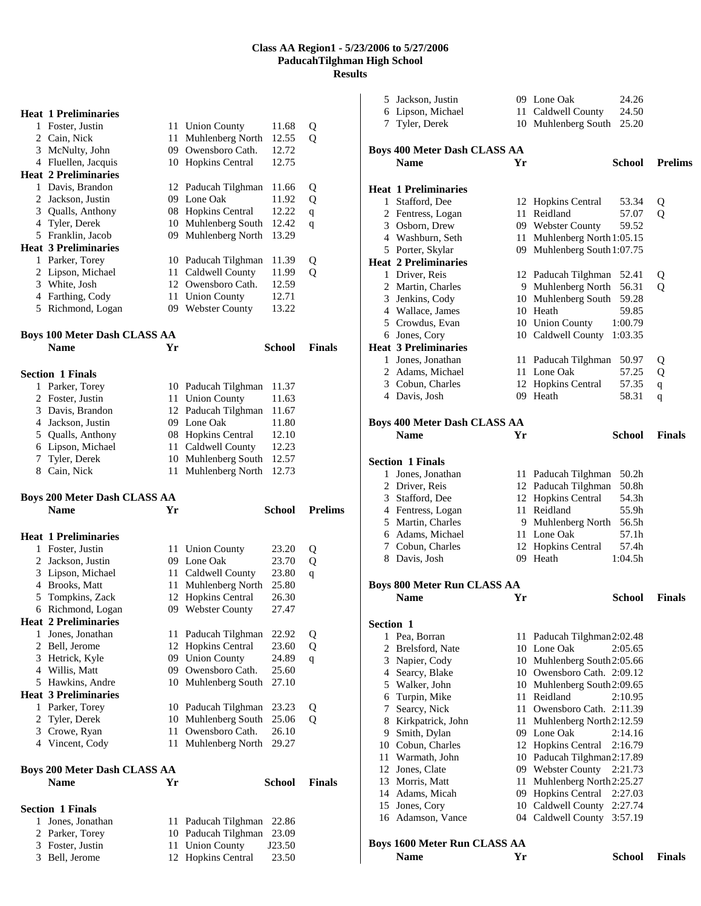# **Heat 1 Preliminaries**

| 1 | Foster, Justin              |     | 11 Union County        | 11.68 | Q |
|---|-----------------------------|-----|------------------------|-------|---|
|   | 2 Cain, Nick                | 11  | Muhlenberg North       | 12.55 | Q |
| 3 | McNulty, John               | 09  | Owensboro Cath.        | 12.72 |   |
| 4 | Fluellen, Jacquis           | 10  | <b>Hopkins Central</b> | 12.75 |   |
|   | <b>Heat 2 Preliminaries</b> |     |                        |       |   |
| 1 | Davis, Brandon              |     | 12 Paducah Tilghman    | 11.66 | Q |
|   | 2 Jackson, Justin           | 09  | Lone Oak               | 11.92 | Q |
|   | 3 Qualls, Anthony           | 08  | <b>Hopkins Central</b> | 12.22 | q |
|   | 4 Tyler, Derek              | 10  | Muhlenberg South       | 12.42 | q |
|   | 5 Franklin, Jacob           | 09  | Muhlenberg North       | 13.29 |   |
|   | <b>Heat 3 Preliminaries</b> |     |                        |       |   |
| 1 | Parker, Torey               |     | 10 Paducah Tilghman    | 11.39 | Q |
|   | 2 Lipson, Michael           | 11  | Caldwell County        | 11.99 | Q |
| 3 | White, Josh                 | 12  | Owensboro Cath.        | 12.59 |   |
| 4 | Farthing, Cody              | 11  | <b>Union County</b>    | 12.71 |   |
|   | 5 Richmond, Logan           | 09. | <b>Webster County</b>  | 13.22 |   |

# **Boys 100 Meter Dash CLASS AA**

|    | <b>Name</b>             | Yr |                     | School | <b>Finals</b> |
|----|-------------------------|----|---------------------|--------|---------------|
|    | <b>Section 1 Finals</b> |    |                     |        |               |
| 1. | Parker, Torey           |    | 10 Paducah Tilghman | 11.37  |               |
|    | 2 Foster, Justin        |    | 11 Union County     | 11.63  |               |
|    | 3 Davis, Brandon        |    | 12 Paducah Tilghman | 11.67  |               |
|    | 4 Jackson, Justin       |    | 09 Lone Oak         | 11.80  |               |
|    | 5 Qualls, Anthony       |    | 08 Hopkins Central  | 12.10  |               |
|    | 6 Lipson, Michael       |    | 11 Caldwell County  | 12.23  |               |
|    | 7 Tyler, Derek          |    | 10 Muhlenberg South | 12.57  |               |
|    | Cain, Nick              |    | 11 Muhlenberg North | 12.73  |               |
|    |                         |    |                     |        |               |

# **Boys 200 Meter Dash CLASS AA Name Yr School Prelims**

|   | <b>Heat 1 Preliminaries</b> |     |                        |       |   |
|---|-----------------------------|-----|------------------------|-------|---|
| 1 | Foster, Justin              | 11  | <b>Union County</b>    | 23.20 | Q |
| 2 | Jackson, Justin             | 09  | Lone Oak               | 23.70 | Q |
| 3 | Lipson, Michael             | 11  | Caldwell County        | 23.80 | q |
| 4 | Brooks, Matt                | 11  | Muhlenberg North       | 25.80 |   |
| 5 | Tompkins, Zack              | 12  | <b>Hopkins Central</b> | 26.30 |   |
| 6 | Richmond, Logan             | 09. | <b>Webster County</b>  | 27.47 |   |
|   | <b>Heat 2 Preliminaries</b> |     |                        |       |   |
| 1 | Jones, Jonathan             | 11  | Paducah Tilghman       | 22.92 | Q |
| 2 | Bell, Jerome                | 12  | <b>Hopkins Central</b> | 23.60 | Q |
| 3 | Hetrick, Kyle               | 09  | <b>Union County</b>    | 24.89 | q |
| 4 | Willis, Matt                | 09  | Owensboro Cath.        | 25.60 |   |
| 5 | Hawkins, Andre              | 10  | Muhlenberg South       | 27.10 |   |
|   | <b>Heat 3 Preliminaries</b> |     |                        |       |   |
| 1 | Parker, Torey               | 10  | Paducah Tilghman       | 23.23 | Q |
| 2 | Tyler, Derek                | 10  | Muhlenberg South       | 25.06 | о |
| 3 | Crowe, Ryan                 | 11  | Owensboro Cath.        | 26.10 |   |
| 4 | Vincent, Cody               | 11  | Muhlenberg North       | 29.27 |   |
|   |                             |     |                        |       |   |

# **Boys 200 Meter Dash CLASS AA**

| <b>Name</b>             | Yг |                           | School | Finals |
|-------------------------|----|---------------------------|--------|--------|
| <b>Section 1 Finals</b> |    |                           |        |        |
| 1 Jones, Jonathan       |    | 11 Paducah Tilghman 22.86 |        |        |
| 2 Parker, Torey         |    | 10 Paducah Tilghman 23.09 |        |        |
| 3 Foster, Justin        |    | 11 Union County           | J23.50 |        |
| 3 Bell, Jerome          |    | 12 Hopkins Central        | 23.50  |        |
|                         |    |                           |        |        |

|           | 5 Jackson, Justin                   |    | 09 Lone Oak                    | 24.26            |                |
|-----------|-------------------------------------|----|--------------------------------|------------------|----------------|
|           | 6 Lipson, Michael                   |    | 11 Caldwell County             | 24.50            |                |
|           | 7 Tyler, Derek                      |    | 10 Muhlenberg South            | 25.20            |                |
|           |                                     |    |                                |                  |                |
|           | <b>Boys 400 Meter Dash CLASS AA</b> |    |                                |                  |                |
|           | <b>Name</b>                         | Yr |                                | School           | <b>Prelims</b> |
|           |                                     |    |                                |                  |                |
|           | <b>Heat 1 Preliminaries</b>         |    |                                |                  |                |
|           | 1 Stafford, Dee                     |    | 12 Hopkins Central             | 53.34            | Q              |
|           | 2 Fentress, Logan                   |    | 11 Reidland                    | 57.07            | Q              |
|           | 3 Osborn, Drew                      |    | 09 Webster County              | 59.52            |                |
|           | 4 Washburn, Seth                    | 11 | Muhlenberg North 1:05.15       |                  |                |
|           | 5 Porter, Skylar                    |    | 09 Muhlenberg South 1:07.75    |                  |                |
|           | <b>Heat 2 Preliminaries</b>         |    |                                |                  |                |
|           | 1 Driver, Reis                      |    | 12 Paducah Tilghman            | 52.41            | Q              |
|           | 2 Martin, Charles                   |    | 9 Muhlenberg North             | 56.31            | Q              |
|           | 3 Jenkins, Cody                     |    | 10 Muhlenberg South            | 59.28            |                |
|           | 4 Wallace, James                    |    | 10 Heath                       | 59.85            |                |
|           | 5 Crowdus, Evan                     |    | 10 Union County                | 1:00.79          |                |
|           | 6 Jones, Cory                       |    | 10 Caldwell County             | 1:03.35          |                |
|           | <b>Heat 3 Preliminaries</b>         |    |                                |                  |                |
|           | 1 Jones, Jonathan                   |    | 11 Paducah Tilghman            | 50.97            | Q              |
|           | 2 Adams, Michael                    |    | 11 Lone Oak                    | 57.25            | Q              |
|           | 3 Cobun, Charles                    |    | 12 Hopkins Central             | 57.35            | $\mathbf q$    |
|           | 4 Davis, Josh                       |    | 09 Heath                       | 58.31            | q              |
|           |                                     |    |                                |                  |                |
|           | <b>Boys 400 Meter Dash CLASS AA</b> |    |                                |                  |                |
|           | <b>Name</b>                         | Yr |                                | <b>School</b>    | <b>Finals</b>  |
|           |                                     |    |                                |                  |                |
|           | <b>Section 1 Finals</b>             |    |                                |                  |                |
|           | 1 Jones, Jonathan                   | 11 | Paducah Tilghman               | 50.2h            |                |
|           | 2 Driver, Reis                      |    | 12 Paducah Tilghman            | 50.8h            |                |
|           | 3 Stafford, Dee                     |    | 12 Hopkins Central             | 54.3h            |                |
|           | 4 Fentress, Logan                   | 11 | Reidland                       | 55.9h            |                |
|           | 5 Martin, Charles                   |    | 9 Muhlenberg North             | 56.5h            |                |
|           | 6 Adams, Michael                    |    | 11 Lone Oak                    | 57.1h            |                |
|           | 7 Cobun, Charles<br>8 Davis, Josh   |    | 12 Hopkins Central<br>09 Heath | 57.4h<br>1:04.5h |                |
|           |                                     |    |                                |                  |                |
|           | <b>Boys 800 Meter Run CLASS AA</b>  |    |                                |                  |                |
|           | <b>Name</b>                         | Yr |                                | School           | <b>Finals</b>  |
|           |                                     |    |                                |                  |                |
| Section 1 |                                     |    |                                |                  |                |
|           | 1 Pea, Borran                       |    | 11 Paducah Tilghman2:02.48     |                  |                |
|           | 2 Brelsford, Nate                   |    | 10 Lone Oak                    | 2:05.65          |                |
|           | 3 Napier, Cody                      |    | 10 Muhlenberg South2:05.66     |                  |                |
|           | 4 Searcy, Blake                     |    | 10 Owensboro Cath. 2:09.12     |                  |                |
|           | 5 Walker, John                      |    | 10 Muhlenberg South 2:09.65    |                  |                |
|           | 6 Turpin, Mike                      |    | 11 Reidland                    | 2:10.95          |                |
|           | 7 Searcy, Nick                      |    | 11 Owensboro Cath. 2:11.39     |                  |                |
|           | 8 Kirkpatrick, John                 | 11 | Muhlenberg North2:12.59        |                  |                |
|           | 9 Smith, Dylan                      |    | 09 Lone Oak                    | 2:14.16          |                |
|           | 10 Cobun, Charles                   |    | 12 Hopkins Central             | 2:16.79          |                |
|           | 11 Warmath, John                    |    | 10 Paducah Tilghman2:17.89     |                  |                |
|           | 12 Jones, Clate                     |    | 09 Webster County              | 2:21.73          |                |
|           | 13 Morris, Matt                     | 11 | Muhlenberg North2:25.27        |                  |                |
|           | 14 Adams, Micah                     | 09 | <b>Hopkins Central</b>         | 2:27.03          |                |
|           | 15 Jones, Cory                      |    | 10 Caldwell County             | 2:27.74          |                |
|           | 16 Adamson, Vance                   |    | 04 Caldwell County             | 3:57.19          |                |
|           |                                     |    |                                |                  |                |
|           | <b>Boys 1600 Meter Run CLASS AA</b> |    |                                |                  |                |
|           | <b>Name</b>                         | Yr |                                | <b>School</b>    | <b>Finals</b>  |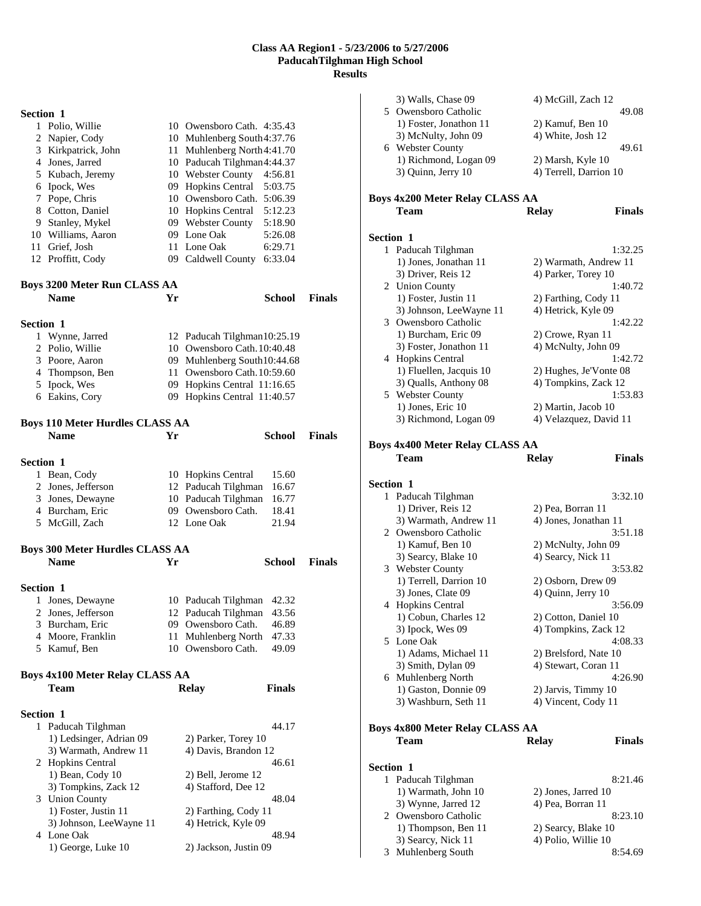| Section 1        |                                             |    |                                             |               |               |
|------------------|---------------------------------------------|----|---------------------------------------------|---------------|---------------|
|                  | 1 Polio, Willie                             |    | 10 Owensboro Cath. 4:35.43                  |               |               |
|                  | 2 Napier, Cody                              |    | 10 Muhlenberg South4:37.76                  |               |               |
|                  | 3 Kirkpatrick, John                         |    | 11 Muhlenberg North 4:41.70                 |               |               |
|                  | 4 Jones, Jarred                             |    | 10 Paducah Tilghman4:44.37                  |               |               |
|                  | 5 Kubach, Jeremy                            |    | 10 Webster County 4:56.81                   |               |               |
|                  | 6 Ipock, Wes                                |    | 09 Hopkins Central                          | 5:03.75       |               |
|                  | 7 Pope, Chris                               |    | 10 Owensboro Cath. 5:06.39                  |               |               |
|                  | 8 Cotton, Daniel                            |    | 10 Hopkins Central 5:12.23                  |               |               |
|                  | 9 Stanley, Mykel                            |    | 09 Webster County 5:18.90                   |               |               |
|                  | 10 Williams, Aaron                          |    | 09 Lone Oak                                 | 5:26.08       |               |
|                  | 11 Grief, Josh<br>12 Proffitt, Cody         |    | 11 Lone Oak<br>09 Caldwell County 6:33.04   | 6:29.71       |               |
|                  |                                             |    |                                             |               |               |
|                  | <b>Boys 3200 Meter Run CLASS AA</b>         |    |                                             |               |               |
|                  | <b>Name</b>                                 | Yr |                                             | School        | <b>Finals</b> |
| Section 1        |                                             |    |                                             |               |               |
|                  | 1 Wynne, Jarred                             |    | 12 Paducah Tilghman10:25.19                 |               |               |
|                  | 2 Polio, Willie                             |    | 10 Owensboro Cath. 10:40.48                 |               |               |
|                  | 3 Poore, Aaron                              |    | 09 Muhlenberg South10:44.68                 |               |               |
|                  | 4 Thompson, Ben                             |    | 11 Owensboro Cath. 10:59.60                 |               |               |
|                  | 5 Ipock, Wes                                |    | 09 Hopkins Central 11:16.65                 |               |               |
|                  | 6 Eakins, Cory                              |    | 09 Hopkins Central 11:40.57                 |               |               |
|                  |                                             |    |                                             |               |               |
|                  | <b>Boys 110 Meter Hurdles CLASS AA</b>      |    |                                             |               |               |
|                  | <b>Name</b>                                 | Yr |                                             | <b>School</b> | <b>Finals</b> |
| Section 1        |                                             |    |                                             |               |               |
|                  | 1 Bean, Cody                                |    | 10 Hopkins Central                          | 15.60         |               |
|                  | 2 Jones, Jefferson                          |    | 12 Paducah Tilghman                         | 16.67         |               |
|                  | 3 Jones, Dewayne                            |    | 10 Paducah Tilghman                         | 16.77         |               |
|                  | 4 Burcham, Eric                             |    | 09 Owensboro Cath.                          | 18.41         |               |
|                  | 5 McGill, Zach                              |    | 12 Lone Oak                                 | 21.94         |               |
|                  | <b>Boys 300 Meter Hurdles CLASS AA</b>      |    |                                             |               |               |
|                  | <b>Name</b>                                 | Yr |                                             | School        | <b>Finals</b> |
|                  |                                             |    |                                             |               |               |
| <b>Section 1</b> |                                             |    |                                             |               |               |
|                  | 1 Jones, Dewayne                            |    | 10 Paducah Tilghman                         | 42.32         |               |
|                  | 2 Jones, Jefferson                          |    | 12 Paducah Tilghman                         | 43.56         |               |
|                  | 3 Burcham, Eric                             |    | 09 Owensboro Cath.                          | 46.89         |               |
|                  | 4 Moore, Franklin                           | 11 | Muhlenberg North                            | 47.33         |               |
|                  | 5 Kamuf, Ben                                |    | 10 Owensboro Cath.                          | 49.09         |               |
|                  | Boys 4x100 Meter Relay CLASS AA             |    |                                             |               |               |
|                  | Team                                        |    | <b>Relay</b>                                | <b>Finals</b> |               |
|                  |                                             |    |                                             |               |               |
| Section 1        |                                             |    |                                             |               |               |
| 1                | Paducah Tilghman<br>1) Ledsinger, Adrian 09 |    |                                             | 44.17         |               |
|                  | 3) Warmath, Andrew 11                       |    | 2) Parker, Torey 10<br>4) Davis, Brandon 12 |               |               |
|                  | 2 Hopkins Central                           |    |                                             | 46.61         |               |
|                  | 1) Bean, Cody 10                            |    | 2) Bell, Jerome 12                          |               |               |
|                  | 3) Tompkins, Zack 12                        |    | 4) Stafford, Dee 12                         |               |               |
|                  | 3 Union County                              |    |                                             | 48.04         |               |
|                  | 1) Foster, Justin 11                        |    | 2) Farthing, Cody 11                        |               |               |
|                  | 3) Johnson, LeeWayne 11                     |    | 4) Hetrick, Kyle 09                         |               |               |
| 4                | Lone Oak                                    |    |                                             | 48.94         |               |

1) George, Luke 10 2) Jackson, Justin 09

|              | 3) Walls, Chase 09<br>5 Owensboro Catholic<br>1) Foster, Jonathon 11<br>3) McNulty, John 09 | 4) McGill, Zach 12<br>2) Kamuf, Ben 10<br>4) White, Josh 12 | 49.08         |
|--------------|---------------------------------------------------------------------------------------------|-------------------------------------------------------------|---------------|
|              | 6 Webster County<br>1) Richmond, Logan 09<br>3) Quinn, Jerry 10                             | 2) Marsh, Kyle 10<br>4) Terrell, Darrion 10                 | 49.61         |
|              | <b>Boys 4x200 Meter Relay CLASS AA</b><br>Team                                              | <b>Relay</b>                                                | <b>Finals</b> |
| Section 1    |                                                                                             |                                                             |               |
|              | 1 Paducah Tilghman                                                                          |                                                             | 1:32.25       |
|              | 1) Jones, Jonathan 11                                                                       | 2) Warmath, Andrew 11                                       |               |
|              | 3) Driver, Reis 12                                                                          | 4) Parker, Torey 10                                         |               |
|              | 2 Union County                                                                              |                                                             | 1:40.72       |
|              | 1) Foster, Justin 11                                                                        | 2) Farthing, Cody 11                                        |               |
|              | 3) Johnson, LeeWayne 11                                                                     | 4) Hetrick, Kyle 09                                         |               |
|              | 3 Owensboro Catholic<br>1) Burcham, Eric 09                                                 | 2) Crowe, Ryan 11                                           | 1:42.22       |
|              | 3) Foster, Jonathon 11                                                                      | 4) McNulty, John 09                                         |               |
|              | 4 Hopkins Central                                                                           |                                                             | 1:42.72       |
|              | 1) Fluellen, Jacquis 10                                                                     | 2) Hughes, Je'Vonte 08                                      |               |
|              | 3) Qualls, Anthony 08                                                                       | 4) Tompkins, Zack 12                                        |               |
|              | 5 Webster County                                                                            |                                                             | 1:53.83       |
|              | 1) Jones, Eric 10                                                                           | 2) Martin, Jacob 10                                         |               |
|              | 3) Richmond, Logan 09                                                                       | 4) Velazquez, David 11                                      |               |
|              |                                                                                             |                                                             |               |
|              | <b>Boys 4x400 Meter Relay CLASS AA</b>                                                      |                                                             |               |
|              | Team                                                                                        | <b>Relay</b>                                                | <b>Finals</b> |
|              |                                                                                             |                                                             |               |
|              |                                                                                             |                                                             |               |
| Section 1    |                                                                                             |                                                             |               |
|              | 1 Paducah Tilghman                                                                          |                                                             | 3:32.10       |
|              | 1) Driver, Reis 12                                                                          | 2) Pea, Borran 11                                           |               |
|              | 3) Warmath, Andrew 11<br>2 Owensboro Catholic                                               | 4) Jones, Jonathan 11                                       | 3:51.18       |
|              | 1) Kamuf, Ben 10                                                                            | 2) McNulty, John 09                                         |               |
|              | 3) Searcy, Blake 10                                                                         | 4) Searcy, Nick 11                                          |               |
|              | 3 Webster County                                                                            |                                                             | 3:53.82       |
|              | 1) Terrell, Darrion 10                                                                      | 2) Osborn, Drew 09                                          |               |
|              | 3) Jones, Clate 09                                                                          | 4) Quinn, Jerry 10                                          |               |
|              | 4 Hopkins Central                                                                           |                                                             | 3:56.09       |
|              | 1) Cobun, Charles 12                                                                        | 2) Cotton, Daniel 10                                        |               |
|              | 3) Ipock, Wes 09                                                                            | 4) Tompkins, Zack 12                                        |               |
| 5            | Lone Oak                                                                                    |                                                             | 4:08.33       |
|              | 1) Adams, Michael 11                                                                        | 2) Brelsford, Nate 10                                       |               |
|              | 3) Smith, Dylan 09                                                                          | 4) Stewart, Coran 11                                        |               |
|              | 6 Muhlenberg North<br>1) Gaston, Donnie 09                                                  | 2) Jarvis, Timmy 10                                         | 4:26.90       |
|              | 3) Washburn, Seth 11                                                                        | 4) Vincent, Cody 11                                         |               |
|              |                                                                                             |                                                             |               |
|              | <b>Boys 4x800 Meter Relay CLASS AA</b>                                                      |                                                             |               |
|              | Team                                                                                        | <b>Relay</b>                                                | Finals        |
|              |                                                                                             |                                                             |               |
| Section 1    |                                                                                             |                                                             |               |
| $\mathbf{1}$ | Paducah Tilghman                                                                            |                                                             | 8:21.46       |
|              | 1) Warmath, John 10                                                                         | 2) Jones, Jarred 10                                         |               |
|              | 3) Wynne, Jarred 12                                                                         | 4) Pea, Borran 11                                           |               |
|              | 2 Owensboro Catholic                                                                        |                                                             | 8:23.10       |
|              | 1) Thompson, Ben 11<br>3) Searcy, Nick 11                                                   | 2) Searcy, Blake 10<br>4) Polio, Willie 10                  |               |